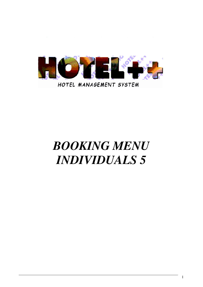

# *BOOKING MENU INDIVIDUALS 5*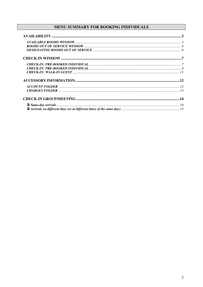## MENU SUMMARY FOR BOOKING INDIVIDUALS

| $\begin{array}{c} {\bf AVAILABLE~ROOMS~WINDOW}. \end{array}$ $\begin{array}{c} {\bf \footnotesize{.3}} \\ {\bf \footnotesize{.7}} \\ {\bf \footnotesize{.600MS~OUT~OF~SERVICE~WINDOW}.}. \end{array}$ |  |
|-------------------------------------------------------------------------------------------------------------------------------------------------------------------------------------------------------|--|
|                                                                                                                                                                                                       |  |
|                                                                                                                                                                                                       |  |
|                                                                                                                                                                                                       |  |
|                                                                                                                                                                                                       |  |
|                                                                                                                                                                                                       |  |
|                                                                                                                                                                                                       |  |
|                                                                                                                                                                                                       |  |
|                                                                                                                                                                                                       |  |
|                                                                                                                                                                                                       |  |
|                                                                                                                                                                                                       |  |
|                                                                                                                                                                                                       |  |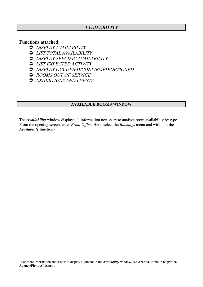## *AVAILABILITY*

## **Functions attached:**

- *DISPLAY AVAILABILITY*
- *LIST TOTAL AVAILABILITY*
- *DISPLAY SPECIFIC AVAILABILITY*
- *LIST EXPECTED ACTIVITY*
- *DISPLAY OCCUPIED/CONFIRMED/OPTIONED*
- *ROOMS OUT OF SERVICE*
- *EXHIBITIONS AND EVENTS*

#### **AVAILABLE ROOMS WINDOW**

The *Availability* window displays all information necessary to analyze room availability by type. From the opening screen, enter *Front Office.* Here, select the *Bookings* menu and within it, the *Availability* function) 1

<sup>1</sup> For more information about how to display allotment in the *Availability* window, see **Archive, Firm, Anagrafica Agency/Firm, Allotment**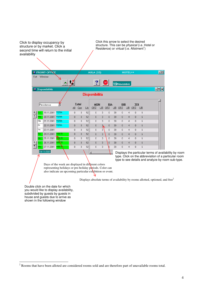Click to display occupancy by structure or by market. Click a second time will return to the initial availability

Click this arrow to select the desired structure. This can be *physical* (i.e. Hotel or Residence) or *virtual* (i.e. Allotment<sup>1</sup>)



Days of the week are displayed in different colors representing holidays or pre-holiday periods. Color can also indicate an upcoming particular exhibition or event.

Displays absolute terms of availability by rooms allotted, optioned, and free<sup>2</sup>

Double click on the date for which you would like to display availability, subdivided by guests by guests in house and guests due to arrive as shown in the following window

<sup>&</sup>lt;sup>2</sup> Rooms that have been alloted are considered rooms sold and are therefore part of unavailable rooms total.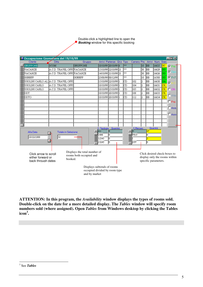Double-click a highlighted line to open the **Booking** window for this specific booking

| Occupazione Giornaliera del 19/10/99                                                                                                                                                                                                                                                                             |                                                                                                                                                                                                                                        |          |  |                           |  |     |                               |                |     |       |                        | $\blacksquare$ o $\blacksquare$ |
|------------------------------------------------------------------------------------------------------------------------------------------------------------------------------------------------------------------------------------------------------------------------------------------------------------------|----------------------------------------------------------------------------------------------------------------------------------------------------------------------------------------------------------------------------------------|----------|--|---------------------------|--|-----|-------------------------------|----------------|-----|-------|------------------------|---------------------------------|
| Cilente                                                                                                                                                                                                                                                                                                          | Ditta                                                                                                                                                                                                                                  | Gruppo   |  | Arrivi Partenze Qt.à Tipo |  |     | Camera Pre. Arrivi Num. Stato |                |     |       |                        |                                 |
| <b>GRUPPONE</b>                                                                                                                                                                                                                                                                                                  | 13COM                                                                                                                                                                                                                                  | GRUPPONE |  | 18/10/99 20/10/99 6       |  | **  |                               | 10             | lвв | 16635 | $_{\rm cc}$            | $\nabla$ Pre.                   |
| VACANZE                                                                                                                                                                                                                                                                                                          | A.C.D. TRAVEL OFFI VACANZE                                                                                                                                                                                                             |          |  | 15/10/99 22/10/99 21      |  | **  |                               | 30             | lвв | 16629 | GG                     |                                 |
| VACANZE                                                                                                                                                                                                                                                                                                          | A.C.D. TRAVEL OFFI VACANZE                                                                                                                                                                                                             |          |  | 14/10/99 21/10/99 21      |  | **  |                               | 30             | lвв | 16626 | ĠĠ                     | ⊽                               |
| GGRRPP                                                                                                                                                                                                                                                                                                           |                                                                                                                                                                                                                                        | GGRRPP   |  | 25/08/99 08/12/99         |  | **  |                               | 10             | lвв | 16508 | GG                     | $\nabla$ Pr.F.                  |
|                                                                                                                                                                                                                                                                                                                  | UGOLINI CARLO AL' A.C.D. TRAVEL OFFI                                                                                                                                                                                                   |          |  | 15/10/99 22/10/99 1       |  | ІCD | 102                           | 2              | вв  | 16630 | GA                     | ঢ়                              |
| UGOLINI CARLO                                                                                                                                                                                                                                                                                                    | A.C.D. TRAVEL OFFI                                                                                                                                                                                                                     |          |  | 18/10/99 25/10/99 1       |  | ІCD | 104                           | 12             | lвв | 16631 | $\overline{\text{CK}}$ |                                 |
| UGOLINI CARLO                                                                                                                                                                                                                                                                                                    | A.C.D. TRAVEL OFFI                                                                                                                                                                                                                     |          |  | 18/10/99 25/10/99 1       |  | CD  | 105                           | 2              | lвв | 16632 | cк.                    | п                               |
| DDT                                                                                                                                                                                                                                                                                                              |                                                                                                                                                                                                                                        |          |  | 18/10/99 20/10/99 1       |  | Іcр | 108                           | $\overline{a}$ | lвв | 16633 | lск                    |                                 |
| DDTO                                                                                                                                                                                                                                                                                                             |                                                                                                                                                                                                                                        |          |  | 18/10/99 20/10/99 1       |  | CD  | 112                           | 2              | lвв | 16634 | cк                     | ΠWai                            |
|                                                                                                                                                                                                                                                                                                                  |                                                                                                                                                                                                                                        |          |  |                           |  |     |                               |                |     |       |                        | $\square$ Pre.                  |
|                                                                                                                                                                                                                                                                                                                  |                                                                                                                                                                                                                                        |          |  |                           |  |     |                               |                |     |       |                        |                                 |
|                                                                                                                                                                                                                                                                                                                  |                                                                                                                                                                                                                                        |          |  |                           |  |     |                               |                |     |       |                        | $\Box$ Ana                      |
|                                                                                                                                                                                                                                                                                                                  |                                                                                                                                                                                                                                        |          |  |                           |  |     |                               |                |     |       |                        | $\Box$ Anni                     |
|                                                                                                                                                                                                                                                                                                                  |                                                                                                                                                                                                                                        |          |  |                           |  |     |                               |                |     |       |                        |                                 |
|                                                                                                                                                                                                                                                                                                                  |                                                                                                                                                                                                                                        |          |  |                           |  |     |                               |                |     |       |                        |                                 |
|                                                                                                                                                                                                                                                                                                                  |                                                                                                                                                                                                                                        |          |  |                           |  |     |                               |                |     |       |                        |                                 |
| Alla Data<br>19/10/1999                                                                                                                                                                                                                                                                                          | Quantità<br>C. Tipologia<br>Quantità<br>C.Mercato<br>27<br>IA1<br>Iо<br>lG<br>Totale in Selezione<br>$\overline{\phantom{a}}$<br>PKG <sup>-</sup><br><b>DBE</b><br>In.<br>In.<br>32<br>12345<br>lo.<br>E<br>13245<br>DIV<br>lo.<br>In. |          |  |                           |  |     |                               |                |     |       |                        |                                 |
| Displays the total number of<br>Click desired check-boxes to<br>Click arrow to scroll<br>rooms both occupied and<br>display only the rooms within<br>either forward or<br>booked.<br>specific parameters.<br>back through dates<br>Displays subtotals of rooms<br>occupied divided by room type<br>and by market |                                                                                                                                                                                                                                        |          |  |                           |  |     |                               |                |     |       |                        |                                 |

**ATTENTION: In this program, the** *Availability* **window displays the types of rooms sold. Double-click on the date for a more detailed display. The** *Tables* **window will specify room numbers sold (where assigned). Open** *Tables* **from Windows desktop by clicking the Tables icon 3 .**

<sup>3</sup> See *Tables*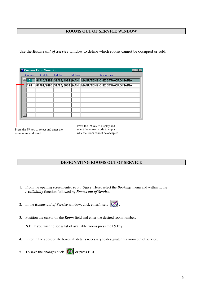#### **ROOMS OUT OF SERVICE WINDOW**

Use the *Rooms out of Service* window to define which rooms cannot be occupied or sold.

|        | Camere-Fuori Servizio |        |        |                                                      |
|--------|-----------------------|--------|--------|------------------------------------------------------|
| Camera | Da data -             | A data | Motivo | Descrizione                                          |
| 101    |                       |        |        | 01/10/1999 31/10/1999 MAN MANUTENZIONE STRAORDINARIA |
| 178    |                       |        |        | 01/01/2000 31/12/2000 MAN MANUTENZIONE STRAORDINARIA |
|        |                       |        |        |                                                      |
|        |                       |        |        |                                                      |
|        |                       |        |        |                                                      |
|        |                       |        |        |                                                      |
|        |                       |        |        |                                                      |
|        |                       |        |        |                                                      |
|        |                       |        |        |                                                      |

Press the F9 key to select and enter the room number desired

Press the F9 key to display and select the correct code to explain why the room cannot be occupied

#### **DESIGNATING ROOMS OUT OF SERVICE**

- 1. From the opening screen, enter *Front Office.* Here, select the *Bookings* menu and within it, the *Availability* function followed by *Rooms out of Service*.
- 2. In the *Rooms out of Service* window, click enter/insert  $\left| \bigotimes \right|$ .
- 
- 3. Position the cursor on the *Room* field and enter the desired room number.

**N.B.** If you wish to see a list of available rooms press the F9 key.

- 4. Enter in the appropriate boxes all details necessary to designate this room out of service.
- 5. To save the changes click  $\boxed{\text{SAVE}}$  or press F10.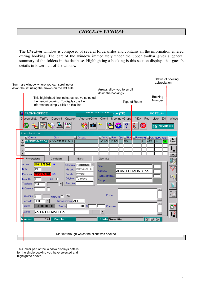## *CHECK-IN WINDOW*

The *Check-in* window is composed of several folders/files and contains all the information entered during booking. The part of the window immediately under the upper toolbar gives a general summary of the folders in the database. Highlighting a booking is this section displays that guest's details in lower half of the window.

| Summary window where you can scroll up or<br>down the list using the arrows on the left side                                                                                                                                                                                                                                                                                                   | Status of booking<br>abbreviation                                                                                                                            |
|------------------------------------------------------------------------------------------------------------------------------------------------------------------------------------------------------------------------------------------------------------------------------------------------------------------------------------------------------------------------------------------------|--------------------------------------------------------------------------------------------------------------------------------------------------------------|
| This highlighted line indicates you've selected<br>the Lentini booking. To display the file<br>information, simply click on this line                                                                                                                                                                                                                                                          | Arrows allow you to scroll<br>down the bookings<br>Booking<br>Number<br>Type of Room                                                                         |
| <b>FRONT-OFFICE</b><br>稻<br>Disponibilità<br>Tariffe<br>Depositi<br>Agenzia-Ditte<br><b>Cauzioni</b>                                                                                                                                                                                                                                                                                           | on nati Hatal Po <mark>ntice ("E)</mark><br>HOTEL++<br><b>VDA</b><br>Pay<br>Liste<br>Windo<br>Clienti<br>Meeting -Gruppi<br>Exit                             |
| <b>ASCAN</b><br>٠ő<br>[SAVI<br>$\equiv$                                                                                                                                                                                                                                                                                                                                                        | ż,<br>19 Novembre                                                                                                                                            |
| Prenotazione<br>I Cliente<br>Ditta<br>$\Sigma$ Gruppo<br>ALCATEL ITALIA S.<br>LENTINI MATILDA<br>٠<br><b>z</b>                                                                                                                                                                                                                                                                                 | Q.ta TTipe TRoom Pre. TArr. Num. State<br><mark>≅l</mark> Arrivo <mark>≅l</mark> Part.<br>上<br>19/11/01 22/12/01 1 BIA<br>APP<br>144<br>l1<br><b>VOUCHER</b> |
| Prenotazione<br>Condizioni<br>Storia                                                                                                                                                                                                                                                                                                                                                           | PAS <sub>5</sub><br>Operativo                                                                                                                                |
| $19/11/2001$ Lu<br>Arrivo<br>Struttura <b>Residence</b> 7<br>33<br>Individuali Dir<br>Notti<br>Mercato<br>Privato<br>22/12/2001 Sa<br>Canale<br>Partenza<br>Origine Telefono<br>AII. IT<br>Quantita<br>l1<br>Prodotto<br>$\overline{\phantom{a}}$<br>Tipologia<br><b>BIA</b><br>N.Camera<br>Presenze 1<br><b>Ris</b><br>Gra'Osp <sup>[7]</sup><br>Arrangiamento APP<br><b>H30</b><br>Contratto | <b>Ditta</b><br>$\mathbf{x}$<br>ALCATEL ITALIA S.P.A.<br>Agenzia<br>Rappresentante<br>E<br>Gruppo<br>Preno                                                   |
| 4.080.000,00<br>$.00 \times$<br>Prezzo<br>Sconto<br><b>VALENTINI MATILDA</b><br>Cliente                                                                                                                                                                                                                                                                                                        | L<br>Check-in<br>اتقا<br>▼                                                                                                                                   |
| <b>Numero</b><br>Voucher<br>144<br>Market through which the client was booked                                                                                                                                                                                                                                                                                                                  | Off WL Gar<br><b>Stato</b> Garantita                                                                                                                         |

This lower part of the window displays details for the single booking you have selected and highlighted above.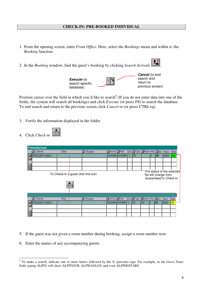#### **CHECK-IN: PRE-BOOKED INDIVIDUAL**

- 1. From the opening screen, enter *Front Office.* Here, select the *Bookings* menu and within it, the *Booking* function.
- 2. In the *Booking* window, find the guest's booking by clicking *Search Arrivals* .





Position cursor over the field in which you'd like to search<sup>4</sup> (If you do not enter data into one of the fields, the system will search all bookings) and click *Execute* (or press F8) to search the database. To end search and return to the previous screen click *Cancel* or (or press CTRL+q).

- 3. Verify the information displayed in the folder.
- 4. Click *Check-in*  $\sqrt{\frac{\text{arcsin}^2}{n}}$

| Prenotazione     |                                                      |                       |                                            |    |                                           |     |     |           |                                                  |           |
|------------------|------------------------------------------------------|-----------------------|--------------------------------------------|----|-------------------------------------------|-----|-----|-----------|--------------------------------------------------|-----------|
| 国 Cliente        | Ditta                                                | Gruppo<br>⊡           | <mark>그</mark> Arrivo <mark>그</mark> Part. |    | Q.ta Tipo ERoom Pre. EArr. Num. Stato     |     |     |           |                                                  |           |
| UGOLINI CARLO    |                                                      |                       | 18/10/99  25/10/99                         |    | CD                                        |     | 2   | BB.       | 16631                                            | IGA"      |
| $\blacktriangle$ |                                                      |                       |                                            |    |                                           |     |     |           |                                                  |           |
| ⊡                |                                                      |                       |                                            |    |                                           |     |     |           |                                                  |           |
| 国                |                                                      |                       |                                            |    |                                           |     |     |           |                                                  |           |
|                  | To Check-In a guest click this icon<br><b>QUOTER</b> |                       |                                            |    |                                           |     |     |           | file will change from<br>Guaranteed to Check-in. |           |
| <b>国</b> Cliente | <b>Ditta</b>                                         | $\blacksquare$ Gruppo | <mark>그</mark> Arrivo 고 Part.              |    | Q.ta I Tipo I Room Pre. I Arr. Num. Stato |     |     |           |                                                  |           |
| JGOLINI CARLO    |                                                      |                       | 18/10/99 25/10/99                          | -1 | CD                                        | 105 | 12. | <b>BB</b> | 16632                                            | <b>CK</b> |
|                  |                                                      |                       |                                            |    |                                           |     |     |           |                                                  |           |
| E                |                                                      |                       |                                            |    |                                           |     |     |           |                                                  |           |
| 囸                |                                                      |                       |                                            |    |                                           |     |     |           |                                                  |           |

- 5. If the guest was not given a room number during booking, assign a room number now.
- 6. Enter the names of any accompanying guests.

<sup>4</sup> To make a search, indicate one or more letters followed by the % (percent) sign. For example, in the *Guest Name* field, typing ALPI% will show ALPITOUR, ALPIEAGLES, and even ALPINESTARS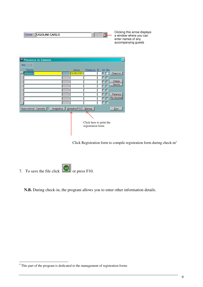| $\sim$<br>،LU<br><br>--<br>-- |  |
|-------------------------------|--|
|                               |  |

Clicking this arrow displays a window where you can enter names of any accompanying guests



Click Registration form to compile registration form during check-in<sup>5</sup>

7. To save the file click  $\boxed{\frac{\text{GAVB}}{\text{OIV}}}\$  or press F10.

**N.B.** During check-in, the program allows you to enter other information details.

<sup>&</sup>lt;sup>5</sup> This part of the program is dedicated to the management of registration forms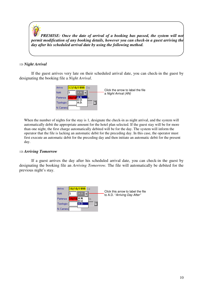*PREMISE: Once the date of arrival of a booking has passed, the system will not permit modification of any booking details, however you can check-in a guest arriving the day after his scheduled arrival date by using the following method.*

#### *Night Arrival*

If the guest arrives very late on their scheduled arrival date, you can check-in the guest by designating the booking file a *Night Arrival*.



When the number of nights for the stay is 1, designate the check-in as night arrival, and the system will automatically debit the appropriate amount for the hotel plan selected. If the guest stay will be for more than one night, the first charge automatically debited will be for the day. The system will inform the operator that the file is lacking an automatic debit for the preceding day. In this case, the operator must first execute an automatic debit for the preceding day and then initiate an automatic debit for the present day.

#### *Arriving Tomorrow*

If a guest arrives the day after his scheduled arrival date, you can check-in the guest by designating the booking file an *Arriving Tomorrow.* The file will automatically be debited for the previous night's stay.

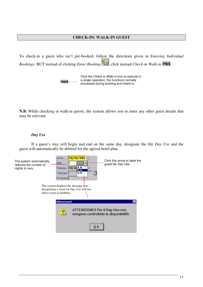#### **CHECK-IN: WALK-IN GUEST**

To check-in a guest who isn't pre-booked, follow the directions given in *Entering Individual Bookings* BUT instead of clicking *Enter Booking* ( $\mathbb{R}$ , click instead *Check-in Walk-in* **PASS**.

> Click the *Check-in Walk-in* icon to execute in a single operation, the functions normally **PASS** processed during booking and check-in.

**N.B.** While checking in walk-in guests, the system allows you to enter any other guest details that may be relevant.

#### *Day Use*

If a guest's stay will begin and end on the same day, designate the file *Day Use* and the guest will automatically be debited for the agreed hotel plan.

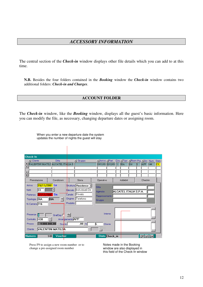The central section of the *Check-in* window displays other file details which you can add to at this time.

**N.B.** Besides the four folders contained in the *Booking* window the *Check-in* window contains two additional folders: *Check-in and Charges*.

#### **ACCOUNT FOLDER**

The *Check-in* window, like the *Booking* window, displays all the guest's basic information. Here you can modify the file, as necessary, changing departure dates or assigning room.

| <b>Check-In</b>                                                                                             |                                                    |                                                                                                         |                                              |                       |                                       |
|-------------------------------------------------------------------------------------------------------------|----------------------------------------------------|---------------------------------------------------------------------------------------------------------|----------------------------------------------|-----------------------|---------------------------------------|
| I Cliente                                                                                                   | Ditta                                              | $\Sigma$ Gruppo                                                                                         | ∐ Arrivo ∑ Part.                             |                       | Q.ta Tipo TRoom Pre. TArr. Num. Stato |
|                                                                                                             | VALENTINI MATILE ALCATEL ITALIA S.                 |                                                                                                         | 19/11/01 22/12/01 1 BIA                      | 216                   | <b>APP</b><br>$ {\rm CK} $<br>144     |
| $\blacktriangle$                                                                                            |                                                    |                                                                                                         |                                              |                       |                                       |
| $\blacktriangledown$                                                                                        |                                                    |                                                                                                         |                                              |                       |                                       |
| $\overline{z}$                                                                                              |                                                    |                                                                                                         |                                              |                       |                                       |
| Prenotazione                                                                                                | Condizioni                                         | Storia                                                                                                  | Operativo                                    | Addebiti              | Checkin                               |
| $19/11/2001$ Lu<br>Arrivo<br>Notti<br>33<br>22/12/2001<br>Partenza<br>Tipologia <b>BIA</b><br>N. Camera 216 | l Sa<br>О<br><b>BIA</b>                            | \$truttura Residence<br>Mercato Individuali Dir<br>Privato<br>Canale<br>Telefono<br>Origine<br>Prodotto | Ditta<br>Agenzia<br>Rappresentante<br>Gruppo | ALCATEL ITALIA S.P.A. |                                       |
| Presenze<br><b>H30</b><br>Contratto                                                                         | Ris<br>Gra'Osp <sup>[7]</sup><br>Arrangiamento APP |                                                                                                         | Interne                                      |                       |                                       |
| Prezzo<br>Cliente                                                                                           | 4.080.000,00<br>Sconto<br><b>VALENTINI MATILDA</b> | $.00\, \%$                                                                                              | Cliente                                      |                       |                                       |
| <b>Numero</b>                                                                                               | Voucher<br>144                                     |                                                                                                         | Stato Check_in                               |                       | Off   WL Gar                          |

When you enter a new departure date the system updates the number of nights the guest will stay

Press F9 to assign a new room number or to change a pre-assigned room number

Notes made in the Booking window are also displayed in this field of the Check-In window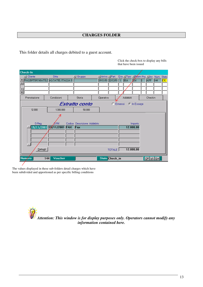This folder details all charges debited to a guest account.

Click the check-box to display any bills that have been issued

|                                                         | <b>Check-In</b>                    |                               |  |                             |  |                           |               |  |                                        |             |                    |     |                        |
|---------------------------------------------------------|------------------------------------|-------------------------------|--|-----------------------------|--|---------------------------|---------------|--|----------------------------------------|-------------|--------------------|-----|------------------------|
|                                                         | I Cliente                          | Ditta                         |  | $\mathbb{Z}$ Gruppo         |  | ∐ Arrivo <u>- I</u> Part. |               |  | Q.ta Tipo Tipoon Pre. TArr. Num. Stato |             |                    |     |                        |
|                                                         | VALENTINI MATILI ALCATEL ITALIA S. |                               |  |                             |  | 19/11/01 22/12/01 1 BIA   |               |  |                                        | $\sqrt{16}$ | APP                | 144 | $\overline{\text{CK}}$ |
| ٠                                                       |                                    |                               |  |                             |  |                           |               |  |                                        |             |                    |     |                        |
|                                                         |                                    |                               |  |                             |  |                           |               |  |                                        |             |                    |     |                        |
| <b>x</b>                                                |                                    |                               |  |                             |  |                           |               |  |                                        |             |                    |     |                        |
|                                                         | Prenotazione                       | Condizioni                    |  | Storia                      |  | Operativo                 |               |  | Addebiti                               |             | Checkin            |     |                        |
| Estratto conto<br><b>C</b> Emessi<br><b>C</b> In Essere |                                    |                               |  |                             |  |                           |               |  |                                        |             |                    |     |                        |
|                                                         | 12.000                             | 1.300.000                     |  | 50.000                      |  |                           |               |  |                                        |             |                    |     |                        |
|                                                         |                                    |                               |  |                             |  |                           |               |  |                                        |             |                    |     |                        |
|                                                         | D.Reg.                             | Ô.Bif.                        |  | Codice Descrizione Addebito |  |                           |               |  |                                        | Importo     |                    |     |                        |
|                                                         |                                    | 19/11/2001 18/11/2001 FAX Fax |  |                             |  |                           |               |  |                                        | 12.000,00   |                    |     |                        |
|                                                         |                                    |                               |  |                             |  |                           |               |  |                                        |             |                    |     |                        |
|                                                         |                                    |                               |  |                             |  |                           |               |  |                                        |             |                    |     |                        |
|                                                         |                                    |                               |  |                             |  |                           |               |  |                                        |             |                    |     |                        |
|                                                         |                                    |                               |  |                             |  |                           |               |  |                                        |             |                    |     |                        |
|                                                         | Dettagli                           |                               |  |                             |  |                           | <b>TOTALE</b> |  |                                        | 12.000,00   |                    |     |                        |
|                                                         | Numero<br>144                      | Voucher                       |  |                             |  | Stato Check_in            |               |  |                                        |             | Off <u>W</u> L Gar |     |                        |
|                                                         |                                    |                               |  |                             |  |                           |               |  |                                        |             |                    |     |                        |

The values displayed in these sub-folders detail charges which have been subdivided and apportioned as per specific billing conditions

> *Attention: This window is for display purposes only. Operators cannot modify any information contained here.*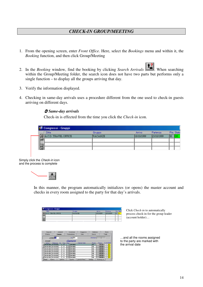## *CHECK-IN GROUP/MEETING*

- 1. From the opening screen, enter *Front Office.* Here, select the *Bookings* menu and within it, the *Booking* function, and then click Group/Meeting
- 2. In the *Booking* window, find the booking by clicking *Search Arrivals* when searching 2. within the Group/Meeting folder, the search icon does not have two parts but performs only a single function – to display all the groups arriving that day.
- 3. Verify the information displayed.
- 4. Checking in same-day arrivals uses a procedure different from the one used to check-in guests arriving on different days.

#### *Same-day arrivals*

Check-in is effected from the time you click the *Check-in* icon.

|         | <b>Congressi</b> - Gruppi |                |            |            |     |            |
|---------|---------------------------|----------------|------------|------------|-----|------------|
|         | Ditta                     | Gruppo         | Arrivo     | Partenza   |     | Pre. Stato |
| E<br>⊪∽ | IA.C.D. TRAVEL OFFICE     | <b>VACANZE</b> | 18/10/1999 | 25/10/1999 | 130 |            |
| 叵       |                           |                |            |            |     |            |
| 囸       |                           |                |            |            |     |            |

Simply click the *Check-in* icon and the process is complete



In this manner, the program automatically initializes (or opens) the master account and checks in every room assigned to the party for that day's arrivals.

|     | Congressi - Gruppi |                |            |            |     |            |
|-----|--------------------|----------------|------------|------------|-----|------------|
|     | Ditta:             | Gruppo         | Arrivo     | Partenza   |     | Pre. Stato |
|     | C.D. TRAVEL OFFICE | <b>VACANZE</b> | 18/10/1999 | 25/10/1999 | 113 | СC         |
| ∣l≛ |                    |                |            |            |     |            |
| e   |                    |                |            |            |     |            |
| G)  |                    |                |            |            |     |            |

Click *Check-in* to automatically process check-in for the group leader (account holder)…

|                           | Depositi              |            | Addebiti  |             |                | Condizioni     | Soggiorno            |           | Statistica | Storia           |              |           |  |
|---------------------------|-----------------------|------------|-----------|-------------|----------------|----------------|----------------------|-----------|------------|------------------|--------------|-----------|--|
|                           | Pratica               |            | Camere    |             |                | Ristorazione   | Sale                 |           | Servizi    |                  | Totali       |           |  |
| Contratto <sup>N'</sup> 6 |                       |            |           | Arr. BB     |                |                |                      | Allotment |            |                  |              |           |  |
|                           | Propaga               |            |           |             |                | <i>Camere</i>  |                      |           |            |                  |              |           |  |
|                           | Arrivo                | Partenza   | Nr.       | <b>Tipo</b> | Pres.          |                | <b>Cliente Hotel</b> |           | Room       | Prezzo           | Gr.All.Stato |           |  |
|                           | 18/10/1999            | 25/10/1999 |           | n           |                | 2 VACANZE      |                      |           | 101        | 150,000 「「       |              | lak l     |  |
|                           | 18/10/1999            | 25/10/1999 |           | n           |                | 2 VACANZE      |                      |           | 102        | 150,000 LLCK     |              |           |  |
|                           | 18/10/1999            | 25/10/1999 |           | n           | $\overline{2}$ | VACANZE        |                      |           | 103        | 150,000 □        |              | αĸ.       |  |
|                           | 18/10/1999            | 25/10/1999 |           | Ð           | $\overline{2}$ | <b>VACANZE</b> |                      |           | 104        | $150.000$ $\Box$ |              | cк        |  |
|                           | 18/10/1999            | 25/10/1999 |           | D           | $\overline{2}$ | VACANZE        |                      |           | 105        | 150,000 LL       |              | CK.       |  |
|                           | 18/10/1999            | 25/10/1999 |           | D           | $\overline{2}$ | <b>VACANZE</b> |                      |           | 106        | $150.000$ $\Box$ |              | $c\kappa$ |  |
|                           | 18/10/1999            | 25/10/1999 |           | D           | $\overline{2}$ | VACANZE        |                      |           | 107        | 150,000 厂厂       |              | CK.       |  |
|                           | 18/10/1999 25/10/1999 |            |           | D           |                | 2 VACANZE      |                      |           | 108        | 150,000 $\Box$   |              |           |  |
|                           | <b>Dettagli</b>       | Flicerca   | Inserisci |             |                | Cancella       | Annulla Preno        | Sdoppia   |            |                  | Roomina List |           |  |

…and all the rooms assigned to the party are marked with the arrival date